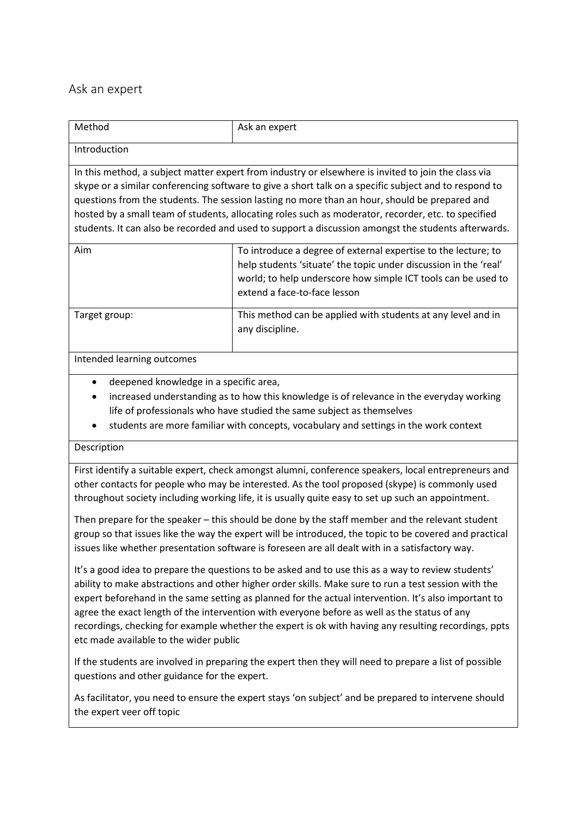## Ask an expert

| Method                                                                                                                                                                                                                                                                                                                                                                                                                                                                                                                      | Ask an expert                                                                                                                                                                                                                       |
|-----------------------------------------------------------------------------------------------------------------------------------------------------------------------------------------------------------------------------------------------------------------------------------------------------------------------------------------------------------------------------------------------------------------------------------------------------------------------------------------------------------------------------|-------------------------------------------------------------------------------------------------------------------------------------------------------------------------------------------------------------------------------------|
| Introduction                                                                                                                                                                                                                                                                                                                                                                                                                                                                                                                |                                                                                                                                                                                                                                     |
| In this method, a subject matter expert from industry or elsewhere is invited to join the class via<br>skype or a similar conferencing software to give a short talk on a specific subject and to respond to<br>questions from the students. The session lasting no more than an hour, should be prepared and<br>hosted by a small team of students, allocating roles such as moderator, recorder, etc. to specified<br>students. It can also be recorded and used to support a discussion amongst the students afterwards. |                                                                                                                                                                                                                                     |
| Aim                                                                                                                                                                                                                                                                                                                                                                                                                                                                                                                         | To introduce a degree of external expertise to the lecture; to<br>help students 'situate' the topic under discussion in the 'real'<br>world; to help underscore how simple ICT tools can be used to<br>extend a face-to-face lesson |
| Target group:                                                                                                                                                                                                                                                                                                                                                                                                                                                                                                               | This method can be applied with students at any level and in<br>any discipline.                                                                                                                                                     |

## Intended learning outcomes

- deepened knowledge in a specific area,
- increased understanding as to how this knowledge is of relevance in the everyday working life of professionals who have studied the same subject as themselves
- students are more familiar with concepts, vocabulary and settings in the work context

## Description

First identify a suitable expert, check amongst alumni, conference speakers, local entrepreneurs and other contacts for people who may be interested. As the tool proposed (skype) is commonly used throughout society including working life, it is usually quite easy to set up such an appointment.

Then prepare for the speaker – this should be done by the staff member and the relevant student group so that issues like the way the expert will be introduced, the topic to be covered and practical issues like whether presentation software is foreseen are all dealt with in a satisfactory way.

It's a good idea to prepare the questions to be asked and to use this as a way to review students' ability to make abstractions and other higher order skills. Make sure to run a test session with the expert beforehand in the same setting as planned for the actual intervention. It's also important to agree the exact length of the intervention with everyone before as well as the status of any recordings, checking for example whether the expert is ok with having any resulting recordings, ppts etc made available to the wider public

If the students are involved in preparing the expert then they will need to prepare a list of possible questions and other guidance for the expert.

As facilitator, you need to ensure the expert stays 'on subject' and be prepared to intervene should the expert veer off topic